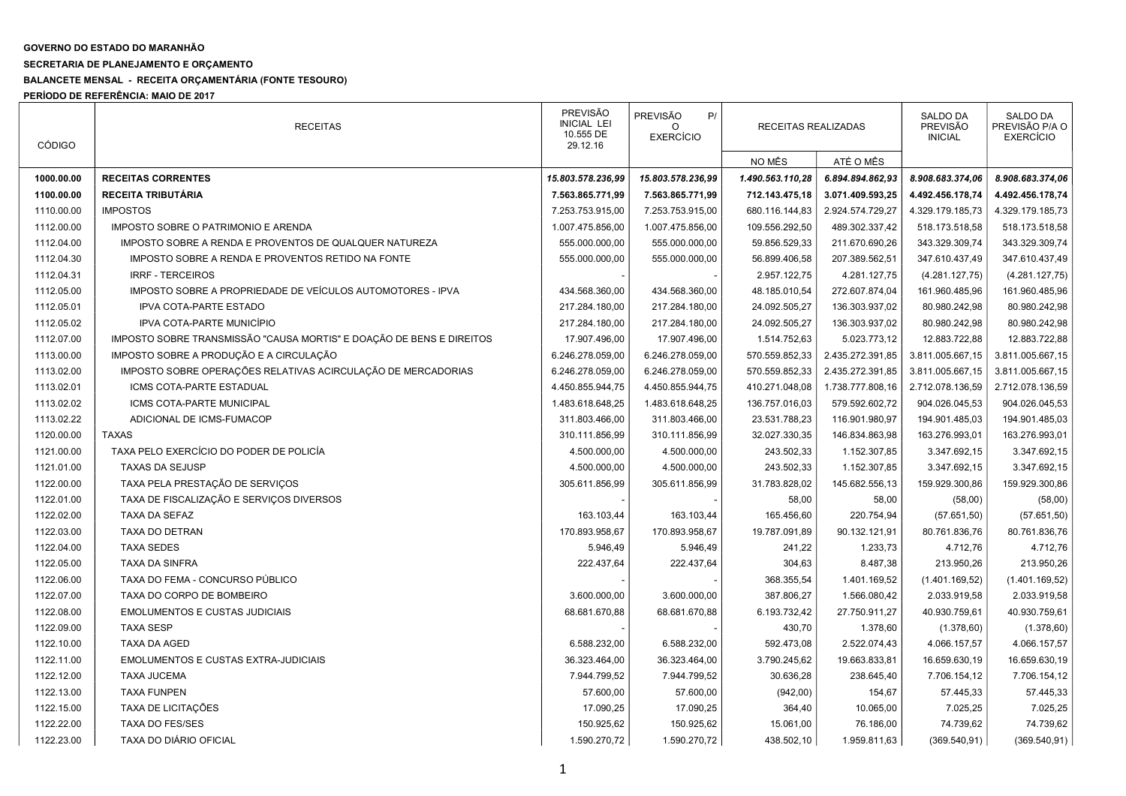## GOVERNO DO ESTADO DO MARANHÃO

## SECRETARIA DE PLANEJAMENTO E ORÇAMENTO

## BALANCETE MENSAL - RECEITA ORÇAMENTÁRIA (FONTE TESOURO)

PERÍODO DE REFERÊNCIA: MAIO DE 2017

| <b>CÓDIGO</b> | <b>RECEITAS</b>                                                      | <b>PREVISÃO</b><br><b>INICIAL LEI</b><br>10.555 DE<br>29.12.16 | PREVISÃO<br>P/<br><b>EXERCÍCIO</b> | RECEITAS REALIZADAS |                  | <b>SALDO DA</b><br><b>PREVISÃO</b><br><b>INICIAL</b> | SALDO DA<br>PREVISÃO P/A O<br><b>EXERCÍCIO</b> |
|---------------|----------------------------------------------------------------------|----------------------------------------------------------------|------------------------------------|---------------------|------------------|------------------------------------------------------|------------------------------------------------|
|               |                                                                      |                                                                |                                    | NO MÊS              | ATÉ O MÊS        |                                                      |                                                |
| 1000.00.00    | <b>RECEITAS CORRENTES</b>                                            | 15.803.578.236,99                                              | 15.803.578.236,99                  | 1.490.563.110,28    | 6.894.894.862,93 | 8.908.683.374,06                                     | 8.908.683.374,06                               |
| 1100.00.00    | RECEITA TRIBUTÁRIA                                                   | 7.563.865.771,99                                               | 7.563.865.771,99                   | 712.143.475,18      | 3.071.409.593,25 | 4.492.456.178,74                                     | 4.492.456.178,74                               |
| 1110.00.00    | <b>IMPOSTOS</b>                                                      | 7.253.753.915,00                                               | 7.253.753.915,00                   | 680.116.144,83      | 2.924.574.729,27 | 4.329.179.185,73                                     | 4.329.179.185,73                               |
| 1112.00.00    | IMPOSTO SOBRE O PATRIMONIO E ARENDA                                  | 1.007.475.856,00                                               | 1.007.475.856,00                   | 109.556.292,50      | 489.302.337,42   | 518.173.518,58                                       | 518.173.518,58                                 |
| 1112.04.00    | IMPOSTO SOBRE A RENDA E PROVENTOS DE QUALQUER NATUREZA               | 555.000.000,00                                                 | 555.000.000,00                     | 59.856.529,33       | 211.670.690,26   | 343.329.309,74                                       | 343.329.309,74                                 |
| 1112.04.30    | IMPOSTO SOBRE A RENDA E PROVENTOS RETIDO NA FONTE                    | 555.000.000,00                                                 | 555.000.000,00                     | 56.899.406,58       | 207.389.562,51   | 347.610.437,49                                       | 347.610.437,49                                 |
| 1112.04.31    | <b>IRRF - TERCEIROS</b>                                              |                                                                |                                    | 2.957.122,75        | 4.281.127,75     | (4.281.127,75)                                       | (4.281.127,75)                                 |
| 1112.05.00    | IMPOSTO SOBRE A PROPRIEDADE DE VEÍCULOS AUTOMOTORES - IPVA           | 434.568.360,00                                                 | 434.568.360,00                     | 48.185.010,54       | 272.607.874,04   | 161.960.485,96                                       | 161.960.485,96                                 |
| 1112.05.01    | <b>IPVA COTA-PARTE ESTADO</b>                                        | 217.284.180,00                                                 | 217.284.180,00                     | 24.092.505,27       | 136.303.937,02   | 80.980.242,98                                        | 80.980.242,98                                  |
| 1112.05.02    | IPVA COTA-PARTE MUNICÍPIO                                            | 217.284.180,00                                                 | 217.284.180,00                     | 24.092.505,27       | 136.303.937,02   | 80.980.242,98                                        | 80.980.242,98                                  |
| 1112.07.00    | IMPOSTO SOBRE TRANSMISSÃO "CAUSA MORTIS" E DOAÇÃO DE BENS E DIREITOS | 17.907.496,00                                                  | 17.907.496,00                      | 1.514.752,63        | 5.023.773,12     | 12.883.722,88                                        | 12.883.722,88                                  |
| 1113.00.00    | IMPOSTO SOBRE A PRODUÇÃO E A CIRCULAÇÃO                              | 6.246.278.059,00                                               | 6.246.278.059,00                   | 570.559.852,33      | 2.435.272.391,85 | 3.811.005.667,15                                     | 3.811.005.667,15                               |
| 1113.02.00    | IMPOSTO SOBRE OPERAÇÕES RELATIVAS ACIRCULAÇÃO DE MERCADORIAS         | 6.246.278.059,00                                               | 6.246.278.059,00                   | 570.559.852,33      | 2.435.272.391,85 | 3.811.005.667,15                                     | 3.811.005.667,15                               |
| 1113.02.01    | ICMS COTA-PARTE ESTADUAL                                             | 4.450.855.944,75                                               | 4.450.855.944,75                   | 410.271.048,08      | 1.738.777.808,16 | 2.712.078.136,59                                     | 2.712.078.136,59                               |
| 1113.02.02    | ICMS COTA-PARTE MUNICIPAL                                            | 1.483.618.648,25                                               | 1.483.618.648,25                   | 136.757.016,03      | 579.592.602,72   | 904.026.045,53                                       | 904.026.045,53                                 |
| 1113.02.22    | ADICIONAL DE ICMS-FUMACOP                                            | 311.803.466,00                                                 | 311.803.466,00                     | 23.531.788,23       | 116.901.980,97   | 194.901.485,03                                       | 194.901.485,03                                 |
| 1120.00.00    | <b>TAXAS</b>                                                         | 310.111.856,99                                                 | 310.111.856,99                     | 32.027.330,35       | 146.834.863,98   | 163.276.993,01                                       | 163.276.993,01                                 |
| 1121.00.00    | TAXA PELO EXERCÍCIO DO PODER DE POLICÍA                              | 4.500.000,00                                                   | 4.500.000,00                       | 243.502,33          | 1.152.307,85     | 3.347.692,15                                         | 3.347.692,15                                   |
| 1121.01.00    | <b>TAXAS DA SEJUSP</b>                                               | 4.500.000,00                                                   | 4.500.000,00                       | 243.502,33          | 1.152.307,85     | 3.347.692,15                                         | 3.347.692,15                                   |
| 1122.00.00    | TAXA PELA PRESTAÇÃO DE SERVIÇOS                                      | 305.611.856,99                                                 | 305.611.856,99                     | 31.783.828,02       | 145.682.556,13   | 159.929.300,86                                       | 159.929.300,86                                 |
| 1122.01.00    | TAXA DE FISCALIZAÇÃO E SERVIÇOS DIVERSOS                             |                                                                |                                    | 58,00               | 58,00            | (58,00)                                              | (58,00)                                        |
| 1122.02.00    | <b>TAXA DA SEFAZ</b>                                                 | 163.103,44                                                     | 163.103,44                         | 165.456,60          | 220.754,94       | (57.651,50)                                          | (57.651,50)                                    |
| 1122.03.00    | <b>TAXA DO DETRAN</b>                                                | 170.893.958,67                                                 | 170.893.958,67                     | 19.787.091,89       | 90.132.121,91    | 80.761.836,76                                        | 80.761.836,76                                  |
| 1122.04.00    | <b>TAXA SEDES</b>                                                    | 5.946,49                                                       | 5.946,49                           | 241,22              | 1.233,73         | 4.712,76                                             | 4.712,76                                       |
| 1122.05.00    | <b>TAXA DA SINFRA</b>                                                | 222.437,64                                                     | 222.437,64                         | 304,63              | 8.487,38         | 213.950,26                                           | 213.950,26                                     |
| 1122.06.00    | TAXA DO FEMA - CONCURSO PÚBLICO                                      |                                                                |                                    | 368.355,54          | 1.401.169,52     | (1.401.169, 52)                                      | (1.401.169, 52)                                |
| 1122.07.00    | TAXA DO CORPO DE BOMBEIRO                                            | 3.600.000,00                                                   | 3.600.000,00                       | 387.806,27          | 1.566.080,42     | 2.033.919,58                                         | 2.033.919,58                                   |
| 1122.08.00    | <b>EMOLUMENTOS E CUSTAS JUDICIAIS</b>                                | 68.681.670,88                                                  | 68.681.670,88                      | 6.193.732,42        | 27.750.911,27    | 40.930.759,61                                        | 40.930.759,61                                  |
| 1122.09.00    | <b>TAXA SESP</b>                                                     |                                                                |                                    | 430,70              | 1.378,60         | (1.378, 60)                                          | (1.378, 60)                                    |
| 1122.10.00    | TAXA DA AGED                                                         | 6.588.232,00                                                   | 6.588.232,00                       | 592.473,08          | 2.522.074,43     | 4.066.157,57                                         | 4.066.157,57                                   |
| 1122.11.00    | <b>EMOLUMENTOS E CUSTAS EXTRA-JUDICIAIS</b>                          | 36.323.464,00                                                  | 36.323.464,00                      | 3.790.245,62        | 19.663.833,81    | 16.659.630,19                                        | 16.659.630,19                                  |
| 1122.12.00    | <b>TAXA JUCEMA</b>                                                   | 7.944.799,52                                                   | 7.944.799,52                       | 30.636,28           | 238.645,40       | 7.706.154,12                                         | 7.706.154,12                                   |
| 1122.13.00    | <b>TAXA FUNPEN</b>                                                   | 57.600,00                                                      | 57.600,00                          | (942,00)            | 154,67           | 57.445,33                                            | 57.445,33                                      |
| 1122.15.00    | TAXA DE LICITAÇÕES                                                   | 17.090,25                                                      | 17.090,25                          | 364,40              | 10.065,00        | 7.025,25                                             | 7.025,25                                       |
| 1122.22.00    | <b>TAXA DO FES/SES</b>                                               | 150.925,62                                                     | 150.925,62                         | 15.061,00           | 76.186,00        | 74.739,62                                            | 74.739,62                                      |
| 1122.23.00    | TAXA DO DIÁRIO OFICIAL                                               | 1.590.270,72                                                   | 1.590.270,72                       | 438.502,10          | 1.959.811,63     | (369.540, 91)                                        | (369.540.91)                                   |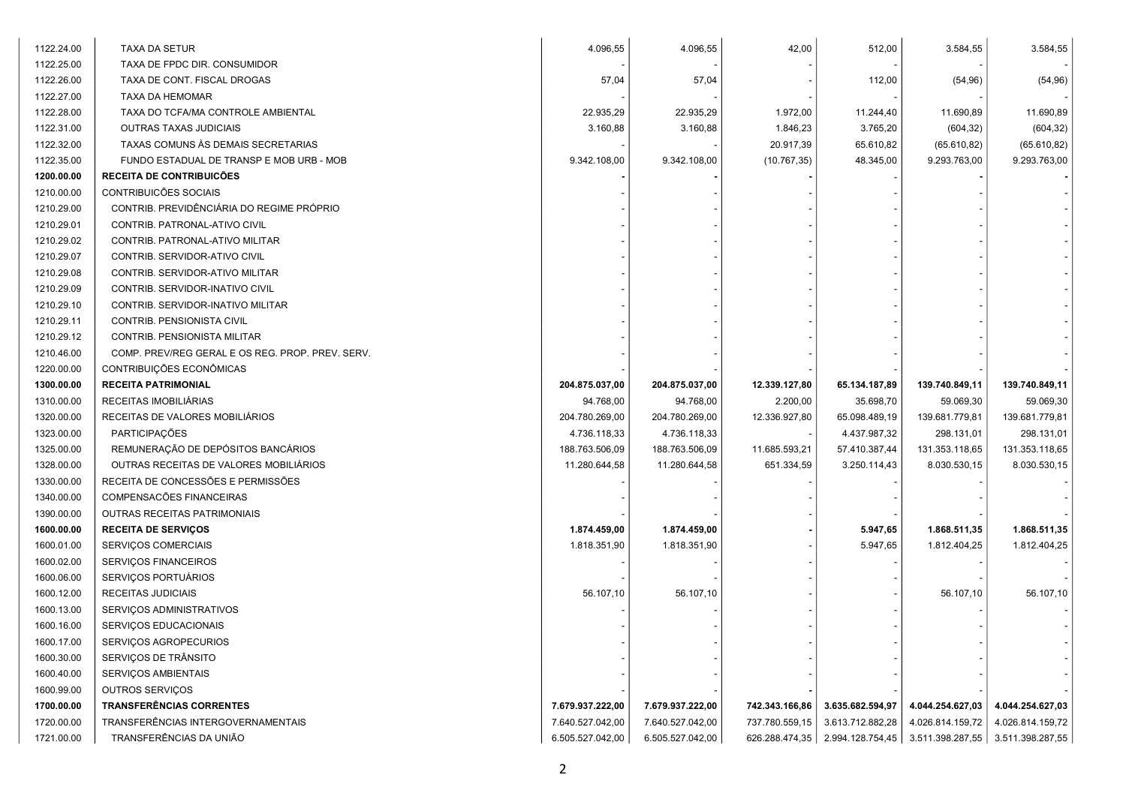| 1122.25.00<br>TAXA DE FPDC DIR. CONSUMIDOR                                                                                     |                  |                                   |
|--------------------------------------------------------------------------------------------------------------------------------|------------------|-----------------------------------|
|                                                                                                                                |                  |                                   |
| 1122.26.00<br>57,04<br>57,04<br>112,00<br>TAXA DE CONT. FISCAL DROGAS                                                          | (54, 96)         | (54, 96)                          |
| 1122.27.00<br>TAXA DA HEMOMAR                                                                                                  |                  |                                   |
| 1122.28.00<br>TAXA DO TCFA/MA CONTROLE AMBIENTAL<br>22.935,29<br>22.935,29<br>1.972,00<br>11.244,40                            | 11.690,89        | 11.690,89                         |
| 1122.31.00<br>3.160,88<br>3.160,88<br>1.846,23<br>3.765,20<br>OUTRAS TAXAS JUDICIAIS                                           | (604, 32)        | (604, 32)                         |
| 1122.32.00<br>TAXAS COMUNS ÀS DEMAIS SECRETARIAS<br>20.917,39<br>65.610,82                                                     | (65.610, 82)     | (65.610, 82)                      |
| 1122.35.00<br>9.342.108,00<br>9.342.108,00<br>(10.767, 35)<br>48.345,00<br>FUNDO ESTADUAL DE TRANSP E MOB URB - MOB            | 9.293.763,00     | 9.293.763,00                      |
| 1200.00.00<br>RECEITA DE CONTRIBUICÕES                                                                                         |                  |                                   |
| 1210.00.00<br>CONTRIBUICÕES SOCIAIS                                                                                            |                  |                                   |
| 1210.29.00<br>CONTRIB. PREVIDÊNCIÁRIA DO REGIME PRÓPRIO                                                                        |                  |                                   |
| 1210.29.01<br>CONTRIB. PATRONAL-ATIVO CIVIL                                                                                    |                  |                                   |
| 1210.29.02<br>CONTRIB. PATRONAL-ATIVO MILITAR                                                                                  |                  |                                   |
| 1210.29.07<br>CONTRIB. SERVIDOR-ATIVO CIVIL                                                                                    |                  |                                   |
| 1210.29.08<br>CONTRIB. SERVIDOR-ATIVO MILITAR                                                                                  |                  |                                   |
| 1210.29.09<br>CONTRIB. SERVIDOR-INATIVO CIVIL                                                                                  |                  |                                   |
| 1210.29.10<br>CONTRIB. SERVIDOR-INATIVO MILITAR                                                                                |                  |                                   |
| 1210.29.11<br>CONTRIB. PENSIONISTA CIVIL                                                                                       |                  |                                   |
| 1210.29.12<br>CONTRIB. PENSIONISTA MILITAR                                                                                     |                  |                                   |
| 1210.46.00<br>COMP. PREV/REG GERAL E OS REG. PROP. PREV. SERV.                                                                 |                  |                                   |
| 1220.00.00<br>CONTRIBUIÇÕES ECONÔMICAS                                                                                         |                  |                                   |
| 1300.00.00<br><b>RECEITA PATRIMONIAL</b><br>204.875.037,00<br>204.875.037,00<br>12.339.127,80<br>65.134.187,89                 | 139.740.849,11   | 139.740.849,11                    |
| 1310.00.00<br>RECEITAS IMOBILIÁRIAS<br>94.768,00<br>94.768,00<br>2.200,00<br>35.698,70                                         | 59.069,30        | 59.069,30                         |
| 1320.00.00<br>RECEITAS DE VALORES MOBILIÁRIOS<br>204.780.269,00<br>12.336.927,80<br>65.098.489,19<br>204.780.269,00            | 139.681.779,81   | 139.681.779,81                    |
| 1323.00.00<br><b>PARTICIPAÇÕES</b><br>4.736.118,33<br>4.736.118,33<br>4.437.987,32                                             | 298.131,01       | 298.131,01                        |
| REMUNERAÇÃO DE DEPÓSITOS BANCÁRIOS<br>1325.00.00<br>188.763.506,09<br>188.763.506,09<br>57.410.387,44<br>11.685.593,21         | 131.353.118,65   | 131.353.118,65                    |
| 1328.00.00<br>OUTRAS RECEITAS DE VALORES MOBILIÁRIOS<br>11.280.644,58<br>11.280.644,58<br>3.250.114,43<br>651.334,59           | 8.030.530,15     | 8.030.530,15                      |
| 1330.00.00<br>RECEITA DE CONCESSÕES E PERMISSÕES                                                                               |                  |                                   |
| 1340.00.00<br>COMPENSACÕES FINANCEIRAS                                                                                         |                  |                                   |
| 1390.00.00<br>OUTRAS RECEITAS PATRIMONIAIS                                                                                     |                  |                                   |
| 1600.00.00<br>1.874.459,00<br>5.947,65<br><b>RECEITA DE SERVIÇOS</b><br>1.874.459,00                                           | 1.868.511,35     | 1.868.511,35                      |
| 1600.01.00<br>1.818.351,90<br>5.947,65<br>SERVIÇOS COMERCIAIS<br>1.818.351,90                                                  | 1.812.404,25     | 1.812.404,25                      |
| 1600.02.00<br>SERVIÇOS FINANCEIROS                                                                                             |                  |                                   |
| 1600.06.00<br>SERVIÇOS PORTUÁRIOS                                                                                              |                  |                                   |
| 1600.12.00<br>56.107,10<br>56.107,10<br>RECEITAS JUDICIAIS                                                                     | 56.107,10        | 56.107,10                         |
| 1600.13.00<br>SERVIÇOS ADMINISTRATIVOS                                                                                         |                  |                                   |
| 1600.16.00<br>SERVIÇOS EDUCACIONAIS                                                                                            |                  |                                   |
| 1600.17.00<br>SERVIÇOS AGROPECURIOS                                                                                            |                  |                                   |
| 1600.30.00<br>SERVIÇOS DE TRÂNSITO                                                                                             |                  |                                   |
| 1600.40.00<br>SERVICOS AMBIENTAIS                                                                                              |                  |                                   |
| 1600.99.00<br>OUTROS SERVIÇOS                                                                                                  |                  |                                   |
| <b>TRANSFERÊNCIAS CORRENTES</b><br>1700.00.00<br>7.679.937.222,00<br>7.679.937.222,00<br>742.343.166,86<br>3.635.682.594,97    | 4.044.254.627,03 | 4.044.254.627,03                  |
| 1720.00.00<br>TRANSFERÊNCIAS INTERGOVERNAMENTAIS<br>7.640.527.042,00<br>7.640.527.042,00<br>737.780.559,15<br>3.613.712.882,28 | 4.026.814.159,72 | 4.026.814.159,72                  |
| TRANSFERÊNCIAS DA UNIÃO<br>1721.00.00<br>6.505.527.042,00<br>2.994.128.754,45<br>6.505.527.042,00<br>626.288.474,35            |                  | 3.511.398.287,55 3.511.398.287,55 |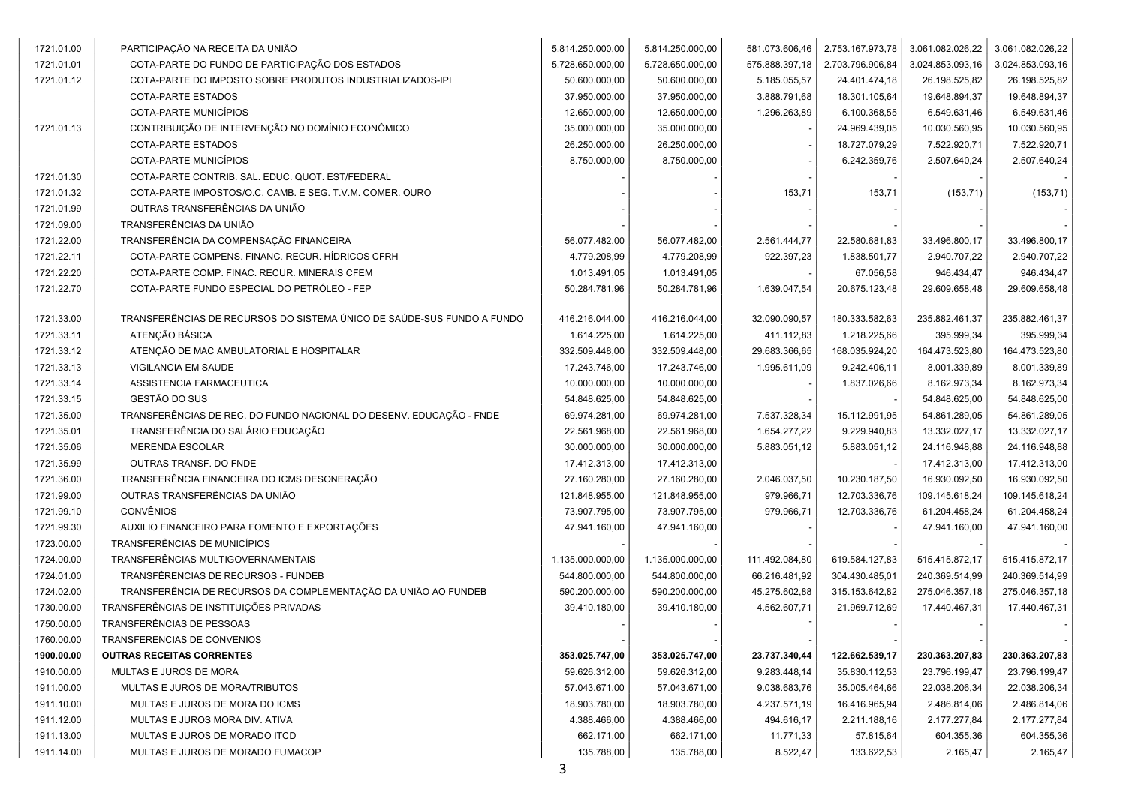| 1721.01.00 | PARTICIPAÇÃO NA RECEITA DA UNIÃO                                       | 5.814.250.000,00 | 5.814.250.000,00 | 581.073.606,46 | 2.753.167.973,78 | 3.061.082.026,22 | 3.061.082.026,22 |
|------------|------------------------------------------------------------------------|------------------|------------------|----------------|------------------|------------------|------------------|
| 1721.01.01 | COTA-PARTE DO FUNDO DE PARTICIPAÇÃO DOS ESTADOS                        | 5.728.650.000,00 | 5.728.650.000,00 | 575.888.397,18 | 2.703.796.906,84 | 3.024.853.093,16 | 3.024.853.093,16 |
| 1721.01.12 | COTA-PARTE DO IMPOSTO SOBRE PRODUTOS INDUSTRIALIZADOS-IPI              | 50.600.000,00    | 50.600.000,00    | 5.185.055,57   | 24.401.474,18    | 26.198.525,82    | 26.198.525,82    |
|            | COTA-PARTE ESTADOS                                                     | 37.950.000,00    | 37.950.000,00    | 3.888.791,68   | 18.301.105,64    | 19.648.894,37    | 19.648.894,37    |
|            | COTA-PARTE MUNICÍPIOS                                                  | 12.650.000,00    | 12.650.000,00    | 1.296.263,89   | 6.100.368,55     | 6.549.631,46     | 6.549.631,46     |
| 1721.01.13 | CONTRIBUIÇÃO DE INTERVENÇÃO NO DOMÍNIO ECONÔMICO                       | 35.000.000,00    | 35.000.000,00    |                | 24.969.439,05    | 10.030.560,95    | 10.030.560,95    |
|            | COTA-PARTE ESTADOS                                                     | 26.250.000,00    | 26.250.000,00    |                | 18.727.079,29    | 7.522.920,71     | 7.522.920,71     |
|            | COTA-PARTE MUNICÍPIOS                                                  | 8.750.000,00     | 8.750.000,00     |                | 6.242.359,76     | 2.507.640,24     | 2.507.640,24     |
| 1721.01.30 | COTA-PARTE CONTRIB. SAL. EDUC. QUOT. EST/FEDERAL                       |                  |                  |                |                  |                  |                  |
| 1721.01.32 | COTA-PARTE IMPOSTOS/O.C. CAMB. E SEG. T.V.M. COMER. OURO               |                  |                  | 153,71         | 153,71           | (153, 71)        | (153, 71)        |
| 1721.01.99 | OUTRAS TRANSFERÊNCIAS DA UNIÃO                                         |                  |                  |                |                  |                  |                  |
| 1721.09.00 | TRANSFERÊNCIAS DA UNIÃO                                                |                  |                  |                |                  |                  |                  |
| 1721.22.00 | TRANSFERÊNCIA DA COMPENSAÇÃO FINANCEIRA                                | 56.077.482,00    | 56.077.482,00    | 2.561.444,77   | 22.580.681,83    | 33.496.800,17    | 33.496.800,17    |
| 1721.22.11 | COTA-PARTE COMPENS. FINANC. RECUR. HÍDRICOS CFRH                       | 4.779.208,99     | 4.779.208,99     | 922.397,23     | 1.838.501,77     | 2.940.707,22     | 2.940.707,22     |
| 1721.22.20 | COTA-PARTE COMP. FINAC. RECUR. MINERAIS CFEM                           | 1.013.491,05     | 1.013.491,05     |                | 67.056,58        | 946.434,47       | 946.434,47       |
| 1721.22.70 | COTA-PARTE FUNDO ESPECIAL DO PETRÓLEO - FEP                            | 50.284.781,96    | 50.284.781,96    | 1.639.047,54   | 20.675.123,48    | 29.609.658,48    | 29.609.658,48    |
|            |                                                                        |                  |                  |                |                  |                  |                  |
| 1721.33.00 | TRANSFERÊNCIAS DE RECURSOS DO SISTEMA ÚNICO DE SAÚDE-SUS FUNDO A FUNDO | 416.216.044,00   | 416.216.044,00   | 32.090.090,57  | 180.333.582,63   | 235.882.461,37   | 235.882.461,37   |
| 1721.33.11 | ATENÇÃO BÁSICA                                                         | 1.614.225,00     | 1.614.225,00     | 411.112,83     | 1.218.225,66     | 395.999,34       | 395.999,34       |
| 1721.33.12 | ATENÇÃO DE MAC AMBULATORIAL E HOSPITALAR                               | 332.509.448,00   | 332.509.448,00   | 29.683.366,65  | 168.035.924,20   | 164.473.523,80   | 164.473.523,80   |
| 1721.33.13 | VIGILANCIA EM SAUDE                                                    | 17.243.746,00    | 17.243.746,00    | 1.995.611,09   | 9.242.406,11     | 8.001.339,89     | 8.001.339,89     |
| 1721.33.14 | ASSISTENCIA FARMACEUTICA                                               | 10.000.000,00    | 10.000.000,00    |                | 1.837.026,66     | 8.162.973,34     | 8.162.973,34     |
| 1721.33.15 | GESTÃO DO SUS                                                          | 54.848.625,00    | 54.848.625,00    |                |                  | 54.848.625,00    | 54.848.625,00    |
| 1721.35.00 | TRANSFERÊNCIAS DE REC. DO FUNDO NACIONAL DO DESENV. EDUCAÇÃO - FNDE    | 69.974.281,00    | 69.974.281,00    | 7.537.328,34   | 15.112.991,95    | 54.861.289,05    | 54.861.289,05    |
| 1721.35.01 | TRANSFERÊNCIA DO SALÁRIO EDUCAÇÃO                                      | 22.561.968,00    | 22.561.968,00    | 1.654.277,22   | 9.229.940,83     | 13.332.027,17    | 13.332.027,17    |
| 1721.35.06 | <b>MERENDA ESCOLAR</b>                                                 | 30.000.000,00    | 30.000.000,00    | 5.883.051,12   | 5.883.051,12     | 24.116.948,88    | 24.116.948,88    |
| 1721.35.99 | OUTRAS TRANSF. DO FNDE                                                 | 17.412.313,00    | 17.412.313,00    |                |                  | 17.412.313,00    | 17.412.313,00    |
| 1721.36.00 | TRANSFERÊNCIA FINANCEIRA DO ICMS DESONERAÇÃO                           | 27.160.280,00    | 27.160.280,00    | 2.046.037,50   | 10.230.187,50    | 16.930.092,50    | 16.930.092,50    |
| 1721.99.00 | OUTRAS TRANSFERÊNCIAS DA UNIÃO                                         | 121.848.955,00   | 121.848.955,00   | 979.966,71     | 12.703.336,76    | 109.145.618,24   | 109.145.618,24   |
| 1721.99.10 | CONVÊNIOS                                                              | 73.907.795,00    | 73.907.795,00    | 979.966,71     | 12.703.336,76    | 61.204.458,24    | 61.204.458,24    |
| 1721.99.30 | AUXILIO FINANCEIRO PARA FOMENTO E EXPORTAÇÕES                          | 47.941.160,00    | 47.941.160,00    |                |                  | 47.941.160,00    | 47.941.160,00    |
| 1723.00.00 | TRANSFERÊNCIAS DE MUNICÍPIOS                                           |                  |                  |                |                  |                  |                  |
| 1724.00.00 | TRANSFERÊNCIAS MULTIGOVERNAMENTAIS                                     | 1.135.000.000,00 | 1.135.000.000,00 | 111.492.084,80 | 619.584.127,83   | 515.415.872,17   | 515.415.872,17   |
| 1724.01.00 | TRANSFÊRENCIAS DE RECURSOS - FUNDEB                                    | 544.800.000,00   | 544.800.000,00   | 66.216.481,92  | 304.430.485,01   | 240.369.514,99   | 240.369.514,99   |
| 1724.02.00 | TRANSFERÊNCIA DE RECURSOS DA COMPLEMENTAÇÃO DA UNIÃO AO FUNDEB         | 590.200.000,00   | 590.200.000,00   | 45.275.602,88  | 315.153.642,82   | 275.046.357,18   | 275.046.357,18   |
| 1730.00.00 | TRANSFERÊNCIAS DE INSTITUIÇÕES PRIVADAS                                | 39.410.180,00    | 39.410.180,00    | 4.562.607,71   | 21.969.712,69    | 17.440.467,31    | 17.440.467,31    |
| 1750.00.00 | TRANSFERÊNCIAS DE PESSOAS                                              |                  |                  |                |                  |                  |                  |
| 1760.00.00 | TRANSFERENCIAS DE CONVENIOS                                            |                  |                  |                |                  |                  |                  |
| 1900.00.00 | <b>OUTRAS RECEITAS CORRENTES</b>                                       | 353.025.747,00   | 353.025.747,00   | 23.737.340,44  | 122.662.539,17   | 230.363.207,83   | 230.363.207,83   |
| 1910.00.00 | MULTAS E JUROS DE MORA                                                 | 59.626.312.00    | 59.626.312,00    | 9.283.448,14   | 35.830.112,53    | 23.796.199,47    | 23.796.199,47    |
| 1911.00.00 | MULTAS E JUROS DE MORA/TRIBUTOS                                        | 57.043.671,00    | 57.043.671,00    | 9.038.683,76   | 35.005.464,66    | 22.038.206,34    | 22.038.206,34    |
| 1911.10.00 | MULTAS E JUROS DE MORA DO ICMS                                         | 18.903.780,00    | 18.903.780,00    | 4.237.571,19   | 16.416.965,94    | 2.486.814,06     | 2.486.814,06     |
| 1911.12.00 | MULTAS E JUROS MORA DIV. ATIVA                                         | 4.388.466,00     | 4.388.466,00     | 494.616,17     | 2.211.188,16     | 2.177.277,84     | 2.177.277,84     |
| 1911.13.00 | MULTAS E JUROS DE MORADO ITCD                                          | 662.171,00       | 662.171,00       | 11.771,33      | 57.815,64        | 604.355,36       | 604.355,36       |
| 1911.14.00 | MULTAS E JUROS DE MORADO FUMACOP                                       | 135.788,00       | 135.788,00       | 8.522,47       | 133.622,53       | 2.165,47         | 2.165,47         |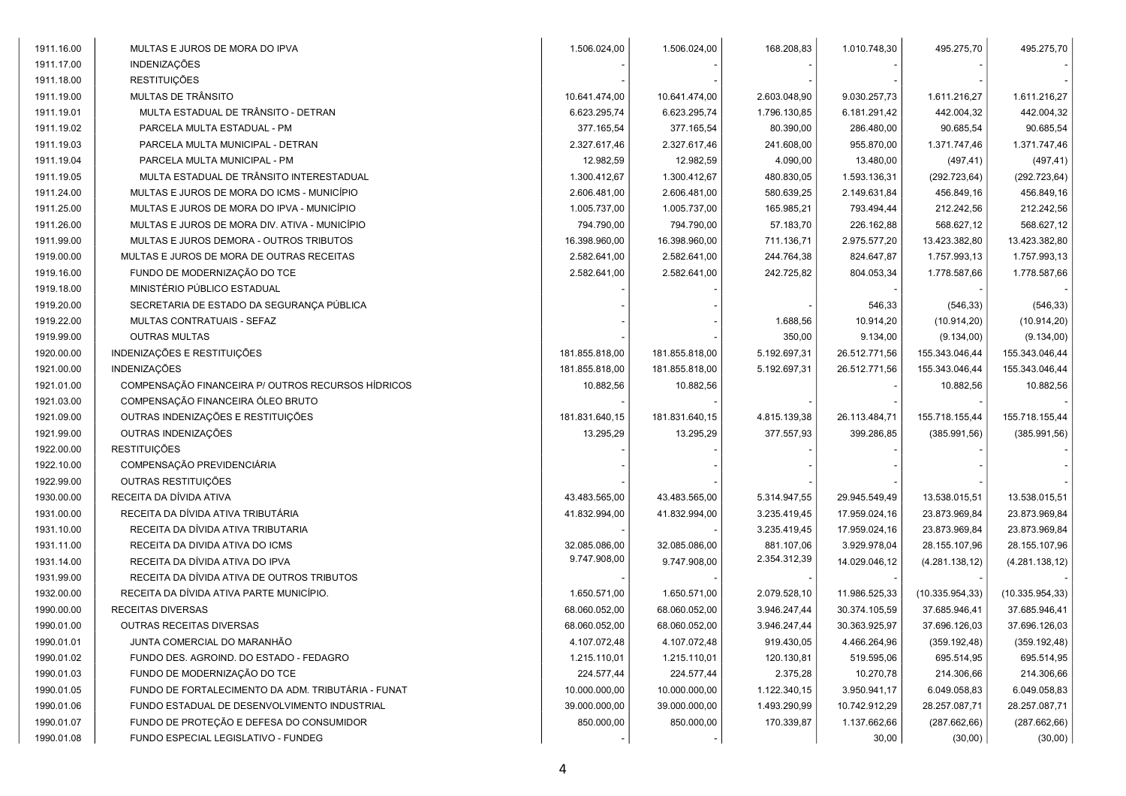| 1911.16.00 | MULTAS E JUROS DE MORA DO IPVA                     | 1.506.024,00   | 1.506.024,00   | 168.208,83   | 1.010.748,30  | 495.275,70       | 495.275,70      |
|------------|----------------------------------------------------|----------------|----------------|--------------|---------------|------------------|-----------------|
| 1911.17.00 | <b>INDENIZAÇÕES</b>                                |                |                |              |               |                  |                 |
| 1911.18.00 | <b>RESTITUIÇÕES</b>                                |                |                |              |               |                  |                 |
| 1911.19.00 | MULTAS DE TRÂNSITO                                 | 10.641.474,00  | 10.641.474,00  | 2.603.048,90 | 9.030.257,73  | 1.611.216,27     | 1.611.216,27    |
| 1911.19.01 | MULTA ESTADUAL DE TRÂNSITO - DETRAN                | 6.623.295,74   | 6.623.295,74   | 1.796.130,85 | 6.181.291,42  | 442.004,32       | 442.004,32      |
| 1911.19.02 | PARCELA MULTA ESTADUAL - PM                        | 377.165,54     | 377.165,54     | 80.390,00    | 286.480,00    | 90.685,54        | 90.685,54       |
| 1911.19.03 | PARCELA MULTA MUNICIPAL - DETRAN                   | 2.327.617,46   | 2.327.617,46   | 241.608,00   | 955.870,00    | 1.371.747,46     | 1.371.747,46    |
| 1911.19.04 | PARCELA MULTA MUNICIPAL - PM                       | 12.982,59      | 12.982,59      | 4.090,00     | 13.480,00     | (497, 41)        | (497, 41)       |
| 1911.19.05 | MULTA ESTADUAL DE TRÂNSITO INTERESTADUAL           | 1.300.412,67   | 1.300.412,67   | 480.830,05   | 1.593.136,31  | (292.723, 64)    | (292.723, 64)   |
| 1911.24.00 | MULTAS E JUROS DE MORA DO ICMS - MUNICÍPIO         | 2.606.481,00   | 2.606.481,00   | 580.639,25   | 2.149.631,84  | 456.849,16       | 456.849,16      |
| 1911.25.00 | MULTAS E JUROS DE MORA DO IPVA - MUNICÍPIO         | 1.005.737,00   | 1.005.737,00   | 165.985,21   | 793.494,44    | 212.242,56       | 212.242,56      |
| 1911.26.00 | MULTAS E JUROS DE MORA DIV. ATIVA - MUNICÍPIO      | 794.790,00     | 794.790,00     | 57.183,70    | 226.162,88    | 568.627,12       | 568.627,12      |
| 1911.99.00 | MULTAS E JUROS DEMORA - OUTROS TRIBUTOS            | 16.398.960,00  | 16.398.960,00  | 711.136,71   | 2.975.577,20  | 13.423.382,80    | 13.423.382,80   |
| 1919.00.00 | MULTAS E JUROS DE MORA DE OUTRAS RECEITAS          | 2.582.641,00   | 2.582.641,00   | 244.764,38   | 824.647,87    | 1.757.993,13     | 1.757.993,13    |
| 1919.16.00 | FUNDO DE MODERNIZAÇÃO DO TCE                       | 2.582.641,00   | 2.582.641,00   | 242.725,82   | 804.053,34    | 1.778.587,66     | 1.778.587,66    |
| 1919.18.00 | MINISTÉRIO PÚBLICO ESTADUAL                        |                |                |              |               |                  |                 |
| 1919.20.00 | SECRETARIA DE ESTADO DA SEGURANÇA PÚBLICA          |                |                |              | 546,33        | (546, 33)        | (546, 33)       |
| 1919.22.00 | MULTAS CONTRATUAIS - SEFAZ                         |                |                | 1.688,56     | 10.914,20     | (10.914, 20)     | (10.914, 20)    |
| 1919.99.00 | <b>OUTRAS MULTAS</b>                               |                |                | 350,00       | 9.134,00      | (9.134,00)       | (9.134,00)      |
| 1920.00.00 | INDENIZAÇÕES E RESTITUIÇÕES                        | 181.855.818,00 | 181.855.818,00 | 5.192.697,31 | 26.512.771,56 | 155.343.046,44   | 155.343.046,44  |
| 1921.00.00 | INDENIZAÇÕES                                       | 181.855.818,00 | 181.855.818,00 | 5.192.697,31 | 26.512.771,56 | 155.343.046,44   | 155.343.046,44  |
| 1921.01.00 | COMPENSAÇÃO FINANCEIRA P/ OUTROS RECURSOS HÍDRICOS | 10.882,56      | 10.882,56      |              |               | 10.882,56        | 10.882,56       |
| 1921.03.00 | COMPENSAÇÃO FINANCEIRA ÓLEO BRUTO                  |                |                |              |               |                  |                 |
| 1921.09.00 | OUTRAS INDENIZAÇÕES E RESTITUIÇÕES                 | 181.831.640,15 | 181.831.640,15 | 4.815.139,38 | 26.113.484,71 | 155.718.155,44   | 155.718.155,44  |
| 1921.99.00 | OUTRAS INDENIZAÇÕES                                | 13.295,29      | 13.295,29      | 377.557,93   | 399.286,85    | (385.991,56)     | (385.991,56)    |
| 1922.00.00 | <b>RESTITUIÇÕES</b>                                |                |                |              |               |                  |                 |
| 1922.10.00 | COMPENSAÇÃO PREVIDENCIÁRIA                         |                |                |              |               |                  |                 |
| 1922.99.00 | OUTRAS RESTITUIÇÕES                                |                |                |              |               |                  |                 |
| 1930.00.00 | RECEITA DA DÍVIDA ATIVA                            | 43.483.565,00  | 43.483.565,00  | 5.314.947,55 | 29.945.549,49 | 13.538.015,51    | 13.538.015,51   |
| 1931.00.00 | RECEITA DA DÍVIDA ATIVA TRIBUTÁRIA                 | 41.832.994,00  | 41.832.994,00  | 3.235.419,45 | 17.959.024,16 | 23.873.969,84    | 23.873.969,84   |
| 1931.10.00 | RECEITA DA DÍVIDA ATIVA TRIBUTARIA                 |                |                | 3.235.419,45 | 17.959.024,16 | 23.873.969,84    | 23.873.969,84   |
| 1931.11.00 | RECEITA DA DIVIDA ATIVA DO ICMS                    | 32.085.086,00  | 32.085.086,00  | 881.107,06   | 3.929.978,04  | 28.155.107,96    | 28.155.107,96   |
| 1931.14.00 | RECEITA DA DÍVIDA ATIVA DO IPVA                    | 9.747.908,00   | 9.747.908,00   | 2.354.312,39 | 14.029.046,12 | (4.281.138, 12)  | (4.281.138, 12) |
| 1931.99.00 | RECEITA DA DÍVIDA ATIVA DE OUTROS TRIBUTOS         |                |                |              |               |                  |                 |
| 1932.00.00 | RECEITA DA DÍVIDA ATIVA PARTE MUNICÍPIO.           | 1.650.571,00   | 1.650.571,00   | 2.079.528,10 | 11.986.525,33 | (10.335.954, 33) | (10.335.954,33) |
| 1990.00.00 | RECEITAS DIVERSAS                                  | 68.060.052,00  | 68.060.052,00  | 3.946.247,44 | 30.374.105,59 | 37.685.946,41    | 37.685.946,41   |
| 1990.01.00 | OUTRAS RECEITAS DIVERSAS                           | 68.060.052,00  | 68.060.052,00  | 3.946.247,44 | 30.363.925,97 | 37.696.126,03    | 37.696.126,03   |
| 1990.01.01 | JUNTA COMERCIAL DO MARANHÃO                        | 4.107.072,48   | 4.107.072,48   | 919.430,05   | 4.466.264,96  | (359.192, 48)    | (359.192, 48)   |
| 1990.01.02 | FUNDO DES. AGROIND. DO ESTADO - FEDAGRO            | 1.215.110,01   | 1.215.110,01   | 120.130,81   | 519.595,06    | 695.514,95       | 695.514,95      |
| 1990.01.03 | FUNDO DE MODERNIZAÇÃO DO TCE                       | 224.577,44     | 224.577,44     | 2.375,28     | 10.270,78     | 214.306,66       | 214.306,66      |
| 1990.01.05 | FUNDO DE FORTALECIMENTO DA ADM. TRIBUTÁRIA - FUNAT | 10.000.000,00  | 10.000.000,00  | 1.122.340,15 | 3.950.941,17  | 6.049.058,83     | 6.049.058,83    |
| 1990.01.06 | FUNDO ESTADUAL DE DESENVOLVIMENTO INDUSTRIAL       | 39.000.000,00  | 39.000.000,00  | 1.493.290,99 | 10.742.912,29 | 28.257.087,71    | 28.257.087,71   |
| 1990.01.07 | FUNDO DE PROTEÇÃO E DEFESA DO CONSUMIDOR           | 850.000,00     | 850.000,00     | 170.339,87   | 1.137.662,66  | (287.662, 66)    | (287.662, 66)   |
| 1990.01.08 | FUNDO ESPECIAL LEGISLATIVO - FUNDEG                |                |                |              | 30,00         | (30,00)          | (30,00)         |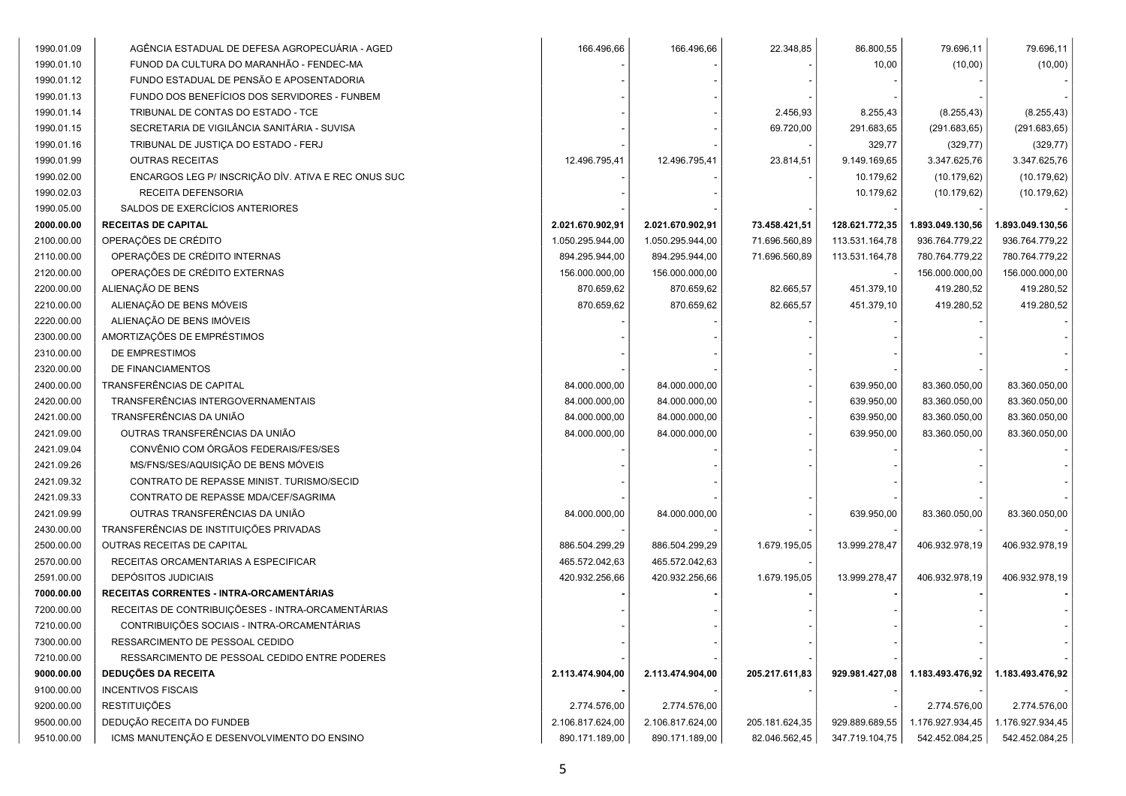| 1990.01.09 | AGÊNCIA ESTADUAL DE DEFESA AGROPECUÁRIA - AGED      | 166.496,66       | 166.496,66       | 22.348,85      | 86.800,55      | 79.696,11        | 79.696,11        |
|------------|-----------------------------------------------------|------------------|------------------|----------------|----------------|------------------|------------------|
| 1990.01.10 | FUNOD DA CULTURA DO MARANHÃO - FENDEC-MA            |                  |                  |                | 10,00          | (10,00)          | (10,00)          |
| 1990.01.12 | FUNDO ESTADUAL DE PENSÃO E APOSENTADORIA            |                  |                  |                |                |                  |                  |
| 1990.01.13 | FUNDO DOS BENEFÍCIOS DOS SERVIDORES - FUNBEM        |                  |                  |                |                |                  |                  |
| 1990.01.14 | TRIBUNAL DE CONTAS DO ESTADO - TCE                  |                  |                  | 2.456,93       | 8.255,43       | (8.255, 43)      | (8.255, 43)      |
| 1990.01.15 | SECRETARIA DE VIGILÂNCIA SANITÁRIA - SUVISA         |                  |                  | 69.720,00      | 291.683,65     | (291.683, 65)    | (291.683, 65)    |
| 1990.01.16 | TRIBUNAL DE JUSTIÇA DO ESTADO - FERJ                |                  |                  |                | 329,77         | (329, 77)        | (329, 77)        |
| 1990.01.99 | <b>OUTRAS RECEITAS</b>                              | 12.496.795,41    | 12.496.795,41    | 23.814,51      | 9.149.169,65   | 3.347.625,76     | 3.347.625,76     |
| 1990.02.00 | ENCARGOS LEG P/ INSCRIÇÃO DÍV. ATIVA E REC ONUS SUC |                  |                  |                | 10.179,62      | (10.179, 62)     | (10.179, 62)     |
| 1990.02.03 | RECEITA DEFENSORIA                                  |                  |                  |                | 10.179,62      | (10.179, 62)     | (10.179, 62)     |
| 1990.05.00 | SALDOS DE EXERCÍCIOS ANTERIORES                     |                  |                  |                |                |                  |                  |
| 2000.00.00 | <b>RECEITAS DE CAPITAL</b>                          | 2.021.670.902,91 | 2.021.670.902,91 | 73.458.421,51  | 128.621.772,35 | 1.893.049.130,56 | 1.893.049.130,56 |
| 2100.00.00 | OPERAÇÕES DE CRÉDITO                                | 1.050.295.944,00 | 1.050.295.944,00 | 71.696.560,89  | 113.531.164,78 | 936.764.779,22   | 936.764.779,22   |
| 2110.00.00 | OPERAÇÕES DE CRÉDITO INTERNAS                       | 894.295.944,00   | 894.295.944,00   | 71.696.560,89  | 113.531.164,78 | 780.764.779,22   | 780.764.779,22   |
| 2120.00.00 | OPERAÇÕES DE CRÉDITO EXTERNAS                       | 156.000.000,00   | 156.000.000,00   |                |                | 156.000.000,00   | 156.000.000,00   |
| 2200.00.00 | ALIENAÇÃO DE BENS                                   | 870.659,62       | 870.659,62       | 82.665,57      | 451.379,10     | 419.280,52       | 419.280,52       |
| 2210.00.00 | ALIENAÇÃO DE BENS MÓVEIS                            | 870.659,62       | 870.659,62       | 82.665,57      | 451.379,10     | 419.280,52       | 419.280,52       |
| 2220.00.00 | ALIENAÇÃO DE BENS IMÓVEIS                           |                  |                  |                |                |                  |                  |
| 2300.00.00 | AMORTIZAÇÕES DE EMPRÉSTIMOS                         |                  |                  |                |                |                  |                  |
| 2310.00.00 | DE EMPRESTIMOS                                      |                  |                  |                |                |                  |                  |
| 2320.00.00 | DE FINANCIAMENTOS                                   |                  |                  |                |                |                  |                  |
| 2400.00.00 | TRANSFERÊNCIAS DE CAPITAL                           | 84.000.000,00    | 84.000.000,00    |                | 639.950,00     | 83.360.050,00    | 83.360.050,00    |
| 2420.00.00 | TRANSFERÊNCIAS INTERGOVERNAMENTAIS                  | 84.000.000,00    | 84.000.000,00    |                | 639.950,00     | 83.360.050,00    | 83.360.050,00    |
| 2421.00.00 | TRANSFERÊNCIAS DA UNIÃO                             | 84.000.000,00    | 84.000.000,00    |                | 639.950,00     | 83.360.050,00    | 83.360.050,00    |
| 2421.09.00 | OUTRAS TRANSFERÊNCIAS DA UNIÃO                      | 84.000.000,00    | 84.000.000,00    |                | 639.950,00     | 83.360.050,00    | 83.360.050,00    |
| 2421.09.04 | CONVÊNIO COM ÓRGÃOS FEDERAIS/FES/SES                |                  |                  |                |                |                  |                  |
| 2421.09.26 | MS/FNS/SES/AQUISIÇÃO DE BENS MÓVEIS                 |                  |                  |                |                |                  |                  |
| 2421.09.32 | CONTRATO DE REPASSE MINIST. TURISMO/SECID           |                  |                  |                |                |                  |                  |
| 2421.09.33 | CONTRATO DE REPASSE MDA/CEF/SAGRIMA                 |                  |                  |                |                |                  |                  |
| 2421.09.99 | OUTRAS TRANSFERÊNCIAS DA UNIÃO                      | 84.000.000,00    | 84.000.000,00    |                | 639.950,00     | 83.360.050,00    | 83.360.050,00    |
| 2430.00.00 | TRANSFERÊNCIAS DE INSTITUIÇÕES PRIVADAS             |                  |                  |                |                |                  |                  |
| 2500.00.00 | OUTRAS RECEITAS DE CAPITAL                          | 886.504.299,29   | 886.504.299,29   | 1.679.195,05   | 13.999.278,47  | 406.932.978,19   | 406.932.978,19   |
| 2570.00.00 | RECEITAS ORCAMENTARIAS A ESPECIFICAR                | 465.572.042,63   | 465.572.042,63   |                |                |                  |                  |
| 2591.00.00 | DEPÓSITOS JUDICIAIS                                 | 420.932.256,66   | 420.932.256,66   | 1.679.195,05   | 13.999.278,47  | 406.932.978,19   | 406.932.978,19   |
| 7000.00.00 | RECEITAS CORRENTES - INTRA-ORCAMENTÁRIAS            |                  |                  |                |                |                  |                  |
| 7200.00.00 | RECEITAS DE CONTRIBUIÇÕESES - INTRA-ORCAMENTÁRIAS   |                  |                  |                |                |                  |                  |
| 7210.00.00 | CONTRIBUIÇÕES SOCIAIS - INTRA-ORCAMENTÁRIAS         |                  |                  |                |                |                  |                  |
| 7300.00.00 | RESSARCIMENTO DE PESSOAL CEDIDO                     |                  |                  |                |                |                  |                  |
| 7210.00.00 | RESSARCIMENTO DE PESSOAL CEDIDO ENTRE PODERES       |                  |                  |                |                |                  |                  |
| 9000.00.00 | <b>DEDUÇÕES DA RECEITA</b>                          | 2.113.474.904,00 | 2.113.474.904,00 | 205.217.611,83 | 929.981.427,08 | 1.183.493.476,92 | 1.183.493.476,92 |
| 9100.00.00 | <b>INCENTIVOS FISCAIS</b>                           |                  |                  |                |                |                  |                  |
| 9200.00.00 | <b>RESTITUIÇÕES</b>                                 | 2.774.576,00     | 2.774.576,00     |                |                | 2.774.576,00     | 2.774.576,00     |
| 9500.00.00 | DEDUÇÃO RECEITA DO FUNDEB                           | 2.106.817.624,00 | 2.106.817.624,00 | 205.181.624,35 | 929.889.689,55 | 1.176.927.934,45 | 1.176.927.934,45 |
| 9510.00.00 | ICMS MANUTENÇÃO E DESENVOLVIMENTO DO ENSINO         | 890.171.189,00   | 890.171.189,00   | 82.046.562,45  | 347.719.104,75 | 542.452.084,25   | 542.452.084,25   |